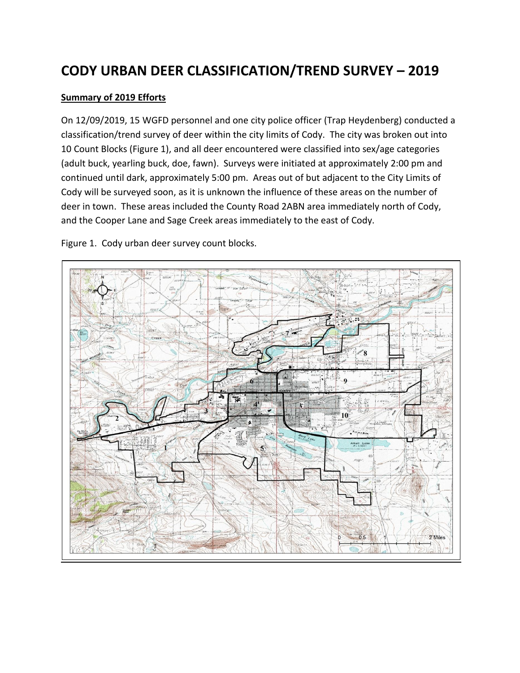# **CODY URBAN DEER CLASSIFICATION/TREND SURVEY – 2019**

#### **Summary of 2019 Efforts**

On 12/09/2019, 15 WGFD personnel and one city police officer (Trap Heydenberg) conducted a classification/trend survey of deer within the city limits of Cody. The city was broken out into 10 Count Blocks (Figure 1), and all deer encountered were classified into sex/age categories (adult buck, yearling buck, doe, fawn). Surveys were initiated at approximately 2:00 pm and continued until dark, approximately 5:00 pm. Areas out of but adjacent to the City Limits of Cody will be surveyed soon, as it is unknown the influence of these areas on the number of deer in town. These areas included the County Road 2ABN area immediately north of Cody, and the Cooper Lane and Sage Creek areas immediately to the east of Cody.

Figure 1. Cody urban deer survey count blocks.

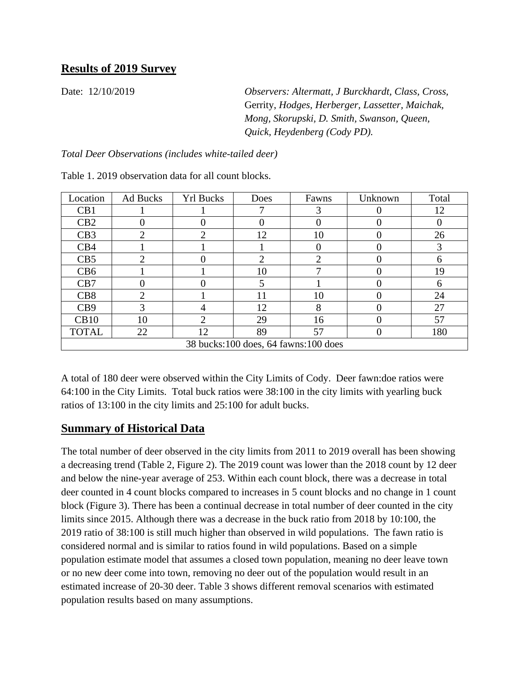Date: 12/10/2019 *Observers: Altermatt, J Burckhardt, Class, Cross,*  Gerrity, *Hodges, Herberger, Lassetter, Maichak, Mong, Skorupski, D. Smith, Swanson, Queen, Quick, Heydenberg (Cody PD).*

*Total Deer Observations (includes white-tailed deer)*

| Location                             | Ad Bucks | <b>Yrl Bucks</b>      | Does | Fawns | Unknown | Total |  |
|--------------------------------------|----------|-----------------------|------|-------|---------|-------|--|
| CB1                                  |          |                       |      | 3     |         | 12    |  |
| CB2                                  | 0        | 0                     |      |       | 0       |       |  |
| CB3                                  | ∍        | $\mathcal{D}_{\cdot}$ | 12   | 10    |         | 26    |  |
| CB4                                  |          |                       |      |       |         | 3     |  |
| CB5                                  | ◠        |                       | ◠    | ◠     |         | 6     |  |
| CB <sub>6</sub>                      |          |                       | 10   |       | 0       | 19    |  |
| CB7                                  |          | $\mathbf{\Omega}$     | 5    |       | 0       | 6     |  |
| CB <sub>8</sub>                      | ◠        |                       | 11   | 10    |         | 24    |  |
| C <sub>B</sub> 9                     | 3        |                       | 12   | 8     |         | 27    |  |
| CB10                                 | 10       | $\mathcal{D}_{\cdot}$ | 29   | 16    | 0       | 57    |  |
| <b>TOTAL</b>                         | 22       | 12                    | 89   | 57    |         | 180   |  |
| 38 bucks:100 does, 64 fawns:100 does |          |                       |      |       |         |       |  |

Table 1. 2019 observation data for all count blocks.

A total of 180 deer were observed within the City Limits of Cody. Deer fawn:doe ratios were 64:100 in the City Limits. Total buck ratios were 38:100 in the city limits with yearling buck ratios of 13:100 in the city limits and 25:100 for adult bucks.

### **Summary of Historical Data**

The total number of deer observed in the city limits from 2011 to 2019 overall has been showing a decreasing trend (Table 2, Figure 2). The 2019 count was lower than the 2018 count by 12 deer and below the nine-year average of 253. Within each count block, there was a decrease in total deer counted in 4 count blocks compared to increases in 5 count blocks and no change in 1 count block (Figure 3). There has been a continual decrease in total number of deer counted in the city limits since 2015. Although there was a decrease in the buck ratio from 2018 by 10:100, the 2019 ratio of 38:100 is still much higher than observed in wild populations. The fawn ratio is considered normal and is similar to ratios found in wild populations. Based on a simple population estimate model that assumes a closed town population, meaning no deer leave town or no new deer come into town, removing no deer out of the population would result in an estimated increase of 20-30 deer. Table 3 shows different removal scenarios with estimated population results based on many assumptions.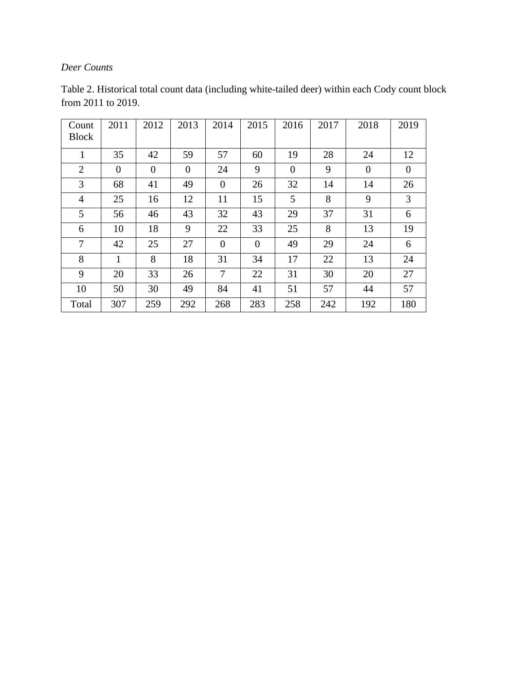### *Deer Counts*

| Count<br><b>Block</b> | 2011           | 2012           | 2013     | 2014           | 2015           | 2016     | 2017 | 2018           | 2019     |
|-----------------------|----------------|----------------|----------|----------------|----------------|----------|------|----------------|----------|
| 1                     | 35             | 42             | 59       | 57             | 60             | 19       | 28   | 24             | 12       |
| $\overline{2}$        | $\overline{0}$ | $\overline{0}$ | $\theta$ | 24             | 9              | $\theta$ | 9    | $\overline{0}$ | $\theta$ |
| 3                     | 68             | 41             | 49       | $\theta$       | 26             | 32       | 14   | 14             | 26       |
| $\overline{4}$        | 25             | 16             | 12       | 11             | 15             | 5        | 8    | 9              | 3        |
| 5                     | 56             | 46             | 43       | 32             | 43             | 29       | 37   | 31             | 6        |
| 6                     | 10             | 18             | 9        | 22             | 33             | 25       | 8    | 13             | 19       |
| 7                     | 42             | 25             | 27       | $\theta$       | $\overline{0}$ | 49       | 29   | 24             | 6        |
| 8                     | 1              | 8              | 18       | 31             | 34             | 17       | 22   | 13             | 24       |
| 9                     | 20             | 33             | 26       | $\overline{7}$ | 22             | 31       | 30   | 20             | 27       |
| 10                    | 50             | 30             | 49       | 84             | 41             | 51       | 57   | 44             | 57       |
| Total                 | 307            | 259            | 292      | 268            | 283            | 258      | 242  | 192            | 180      |

Table 2. Historical total count data (including white-tailed deer) within each Cody count block from 2011 to 2019.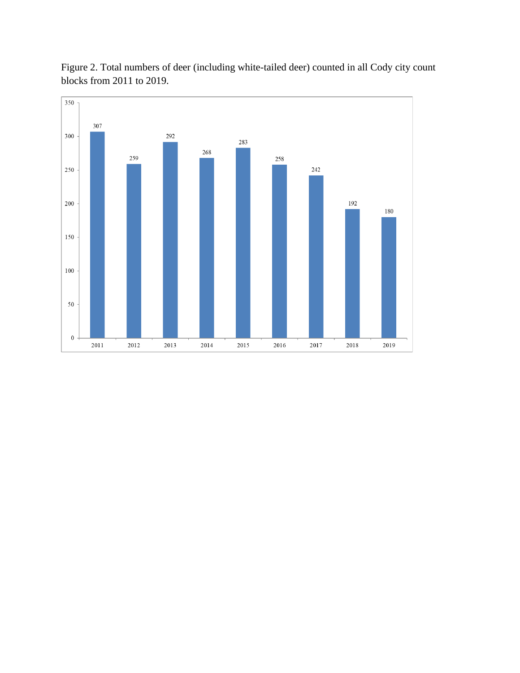

Figure 2. Total numbers of deer (including white-tailed deer) counted in all Cody city count blocks from 2011 to 2019.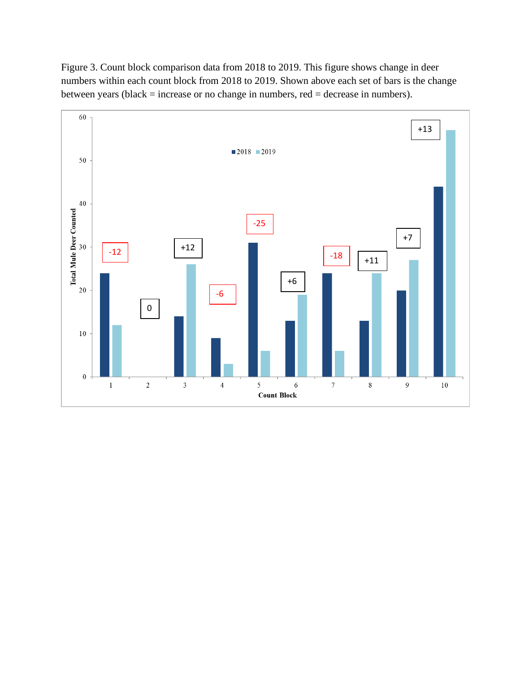Figure 3. Count block comparison data from 2018 to 2019. This figure shows change in deer numbers within each count block from 2018 to 2019. Shown above each set of bars is the change between years (black = increase or no change in numbers, red = decrease in numbers).

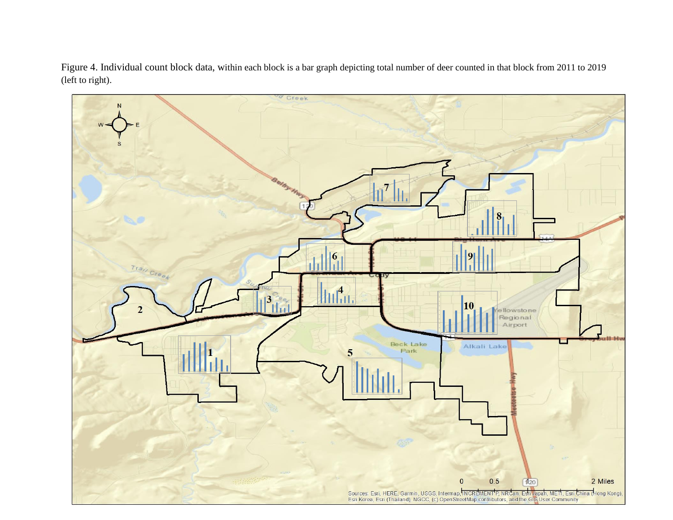Figure 4. Individual count block data, within each block is a bar graph depicting total number of deer counted in that block from 2011 to 2019 (left to right).

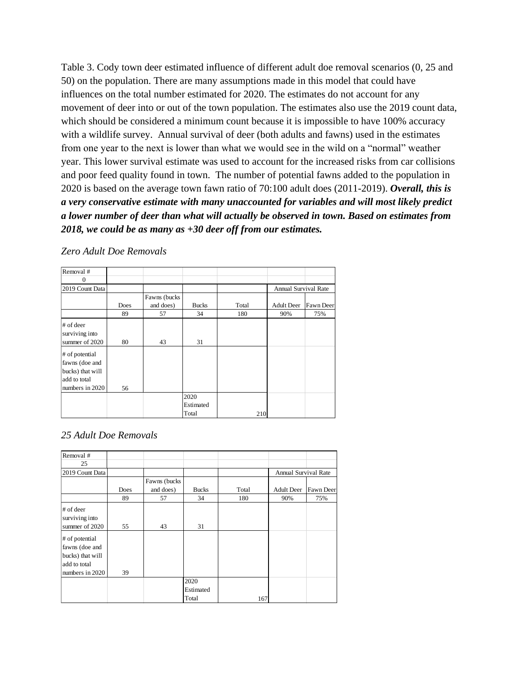Table 3. Cody town deer estimated influence of different adult doe removal scenarios (0, 25 and 50) on the population. There are many assumptions made in this model that could have influences on the total number estimated for 2020. The estimates do not account for any movement of deer into or out of the town population. The estimates also use the 2019 count data, which should be considered a minimum count because it is impossible to have 100% accuracy with a wildlife survey. Annual survival of deer (both adults and fawns) used in the estimates from one year to the next is lower than what we would see in the wild on a "normal" weather year. This lower survival estimate was used to account for the increased risks from car collisions and poor feed quality found in town. The number of potential fawns added to the population in 2020 is based on the average town fawn ratio of 70:100 adult does (2011-2019). *Overall, this is a very conservative estimate with many unaccounted for variables and will most likely predict a lower number of deer than what will actually be observed in town. Based on estimates from 2018, we could be as many as +30 deer off from our estimates.* 

| Removal #                   |      |               |              |       |                             |           |
|-----------------------------|------|---------------|--------------|-------|-----------------------------|-----------|
| $\mathbf{0}$                |      |               |              |       |                             |           |
| 2019 Count Data             |      |               |              |       | <b>Annual Survival Rate</b> |           |
|                             |      | Fawns (bucks) |              |       |                             |           |
|                             | Does | and does)     | <b>Bucks</b> | Total | <b>Adult Deer</b>           | Fawn Deer |
|                             | 89   | 57            | 34           | 180   | 90%                         | 75%       |
| # of deer<br>surviving into |      |               |              |       |                             |           |
| summer of 2020              | 80   | 43            | 31           |       |                             |           |
| # of potential              |      |               |              |       |                             |           |
| fawns (doe and              |      |               |              |       |                             |           |
| bucks) that will            |      |               |              |       |                             |           |
| add to total                |      |               |              |       |                             |           |
| numbers in 2020             | 56   |               |              |       |                             |           |
|                             |      |               | 2020         |       |                             |           |
|                             |      |               | Estimated    |       |                             |           |
|                             |      |               | Total        | 210   |                             |           |

*Zero Adult Doe Removals*

#### *25 Adult Doe Removals*

| Removal #        |      |               |              |       |                      |           |
|------------------|------|---------------|--------------|-------|----------------------|-----------|
| 25               |      |               |              |       |                      |           |
| 2019 Count Data  |      |               |              |       | Annual Survival Rate |           |
|                  |      | Fawns (bucks) |              |       |                      |           |
|                  | Does | and does)     | <b>Bucks</b> | Total | <b>Adult Deer</b>    | Fawn Deer |
|                  | 89   | 57            | 34           | 180   | 90%                  | 75%       |
| # of deer        |      |               |              |       |                      |           |
| surviving into   |      |               |              |       |                      |           |
| summer of 2020   | 55   | 43            | 31           |       |                      |           |
| # of potential   |      |               |              |       |                      |           |
| fawns (doe and   |      |               |              |       |                      |           |
| bucks) that will |      |               |              |       |                      |           |
| add to total     |      |               |              |       |                      |           |
| numbers in 2020  | 39   |               |              |       |                      |           |
|                  |      |               | 2020         |       |                      |           |
|                  |      |               | Estimated    |       |                      |           |
|                  |      |               | Total        | 167   |                      |           |